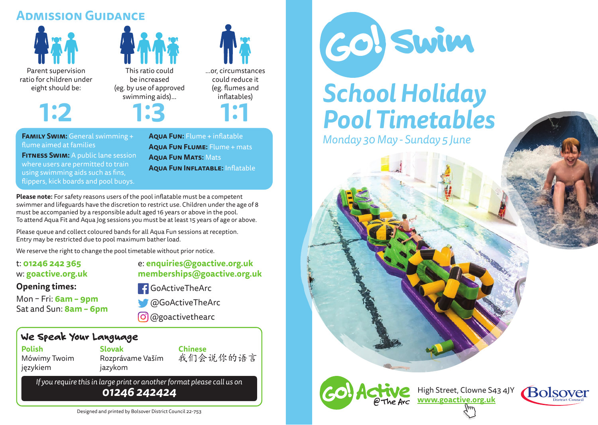### **Admission Guidance**







**Family Swim:** General swimming + flume aimed at families

**FITNESS SWIM:** A public lane session where users are permitted to train using swimming aids such as fins, flippers, kick boards and pool buoys.

**Aqua Fun:** Flume + inflatable **Aqua Fun Flume:** Flume + mats **Aqua Fun Mats:** Mats **Aqua Fun Inflatable:** Inflatable

**Please note:** For safety reasons users of the pool inflatable must be a competent swimmer and lifeguards have the discretion to restrict use. Children under the age of 8 must be accompanied by a responsible adult aged 16 years or above in the pool. To attend Aqua Fit and Aqua Jog sessions you must be at least 15 years of age or above.

Please queue and collect coloured bands for all Aqua Fun sessions at reception. Entry may be restricted due to pool maximum bather load.

We reserve the right to change the pool timetable without prior notice.

t: **01246 242 365** w: **goactive.org.uk**

### e: **enquiries@goactive.org.uk memberships@goactive.org.uk**

### **Opening times:**

Mon – Fri: **6am – 9pm** Sat and Sun: **8am – 6pm** **f** GoActiveTheArc



@GoActiveTheArc

@goactivethearc

### We Speak Your Language

**Polish** Mówimy Twoim językiem

**Slovak** Rozprávame Vaším jazykom

**Chinese**<br>我们会说你的语言

*If you require this in large print or another format please call us on 01246 242424*



# *School Holiday Pool Timetables*

*Monday 30 May - Sunday 5 June*



High Street, Clowne S43 4JY **www.goactive.org.uk**